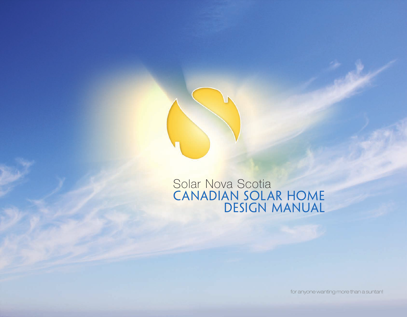

for anyone wanting more than a suntan!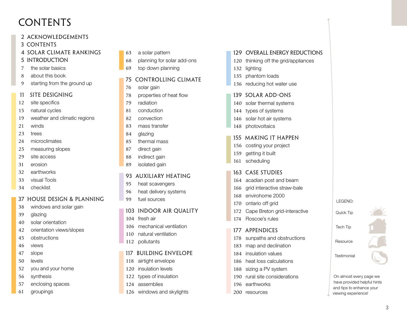# **CONTENTS**

- 2 ACKNOWLEDGEMENTS
- 3 CONTENTS
- 4 SOLAR CLIMATE RANKINGS
- 5 INTRODUCTION
- the solar basics
- about this book
- starting from the ground up
- SITE DESIGNING
- site specifics
- natural cycles
- weather and climatic regions
- winds
- trees
- microclimates
- measuring slopes
- site access
- erosion
- earthworks
- visual Tools
- checklist

#### HOUSE DESIGN & PLANNING

- windows and solar gain
- glazing
- solar orientation
- orientation views/slopes
- obstructions
- views
- slope
- levels
- you and your home
- synthesis
- enclosing spaces
- groupings
- a solar pattern
- planning for solar add-ons
- top down planning

## 75 CONTROLLING CLIMATE

- solar gain
- properties of heat flow
- radiation
- conduction
- convection
- mass transfer
- glazing
- thermal mass
- direct gain
- indirect gain
- isolated gain

## 93 AUXILIARY HEATING

- heat scavengers
- heat delivery systems
- fuel sources

## 103 INDOOR AIR QUALITY

- fresh air
- mechanical ventilation
- natural ventilation
- pollutants

#### 117 BUILDING ENVELOPE

- airtight envelope
- insulation levels
- types of insulation
- assemblies
- windows and skylights

#### 129 OVERALL ENERGY REDUCTIONS

- thinking off the grid/appliances
- lighting
- phantom loads
- reducing hot water use

#### 139 SOLAR ADD-ONS

- solar thermal systems
- types of systems
- solar hot air systems
- photovoltaics

#### 155 MAKING IT HAPPEN

- costing your project
- getting it built
- scheduling

## 163 CASE STUDIES

- acadian post and beam
- grid interactive straw-bale
- envirohome 2000
- ontario off grid
- Cape Breton grid-interactive
- Roscoe's rules

#### 177 APPENDICES

- sunpaths and obstructions
- map and declination
- insulation values
- heat loss calculations
- sizing a PV system
- rural site considerations
- earthworks
- resources



On almost every page we have provided helpful hints and tips to enhance your viewing experience!

LEGEND:

Quick Tip

Tech Tip

Resource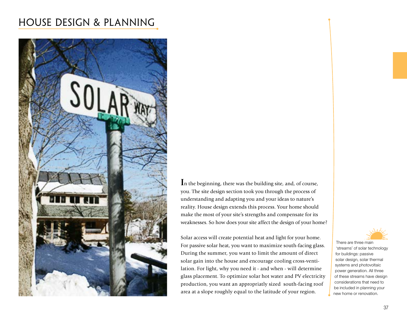# HOUSE Design & PLANNING



**I**n the beginning, there was the building site, and, of course, you. The site design section took you through the process of understanding and adapting you and your ideas to nature's reality. House design extends this process. Your home should make the most of your site's strengths and compensate for its weaknesses. So how does your site affect the design of your home?

Solar access will create potential heat and light for your home. For passive solar heat, you want to maximize south-facing glass. During the summer, you want to limit the amount of direct solar gain into the house and encourage cooling cross-ventilation. For light, why you need it - and when - will determine glass placement. To optimize solar hot water and PV electricity production, you want an appropriatly sized south-facing roof area at a slope roughly equal to the latitude of your region.



There are three main 'streams' of solar technology for buildings: passive solar design, solar thermal systems and photovoltaic power generation. All three of these streams have design considerations that need to be included in planning your new home or renovation.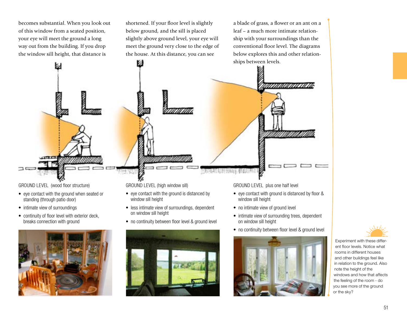becomes substantial. When you look out of this window from a seated position, your eye will meet the ground a long way out from the building. If you drop the window sill height, that distance is

shortened. If your floor level is slightly below ground, and the sill is placed slightly above ground level, your eye will meet the ground very close to the edge of the house. At this distance, you can see

a blade of grass, a flower or an ant on a leaf – a much more intimate relationship with your surroundings than the conventional floor level. The diagrams below explores this and other relationships between levels.

nomunua



GROUND LEVEL (wood floor structure)

- eye contact with the ground when seated or standing (through patio door)
- intimate view of surroundings
- continuity of floor level with exterior deck, breaks connection with ground



GROUND LEVEL (high window sill)

- eye contact with the ground is distanced by window sill height
- less intimate view of surroundings, dependent on window sill height
- no continuity between floor level & ground level



GROUND LEVEL plus one half level

地名哈利奥比利德

- eye contact with ground is distanced by floor & window sill height
- no intimate view of ground level
- intimate view of surrounding trees, dependent on window sill height
- no continuity between floor level & ground level





Experiment with these different floor levels. Notice what rooms in different houses and other buildings feel like in relation to the ground. Also note the height of the windows and how that affects the feeling of the room - do you see more of the ground or the sky?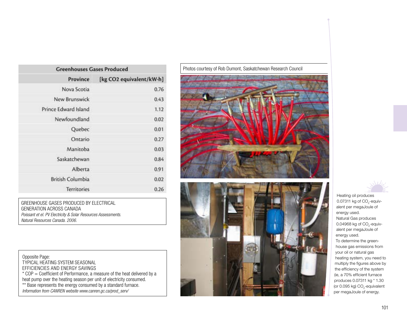| <b>Greenhouses Gases Produced</b> |                          |
|-----------------------------------|--------------------------|
| Province                          | [kg CO2 equivalent/kW-h] |
| Nova Scotia                       | 0.76                     |
| New Brunswick                     | 0.43                     |
| Prince Edward Island              | 1.12                     |
| Newfoundland                      | 0.02                     |
| Quebec                            | 0.01                     |
| Ontario                           | 0.27                     |
| Manitoba                          | 0.03                     |
| Saskatchewan                      | 0.84                     |
| Alberta                           | 0.91                     |
| <b>British Columbia</b>           | 0.02                     |
| Territories                       | 0.26                     |

GREENHOUSE GASES PRODUCED BY ELECTRICAL GENERATION ACROSS CANADA Poissant et el. PV Electricity & Solar Resources Assessments. Natural Resources Canada. 2006.

Opposite Page: TYPICAL HEATING SYSTEM SEASONAL EFFICIENCIES AND ENERGY SAVINGS  $*$  COP = Coefficient of Performance, a measure of the heat delivered by a heat pump over the heating season per unit of electricity consumed. \*\* Base represents the energy consumed by a standard furnace. Information from CANREN website www.canren.gc.ca/prod\_serv/

Photos courtesy of Rob Dumont, Saskatchewan Research Council







Heating oil produces 0.07311 kg of CO $_2$ -equivalent per megaJoule of energy used. Natural Gas produces 0.04968 kg of CO $_2$ -equivalent per megaJoule of energy used. To determine the greenhouse gas emissions from your oil or natural gas heating system, you need to multiply the figures above by the efficiency of the system (ie, a 70% efficient furnace produces 0.07311 kg \* 1.30 (or 0.095 kg) CO<sub>2</sub>-equivalent per megaJoule of energy.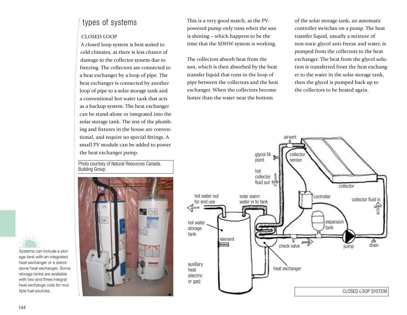# types of systems

#### CLOSED LOOP

A closed loop system is best suited to cold climates, as there is less chance of damage to the collector system due to freezing. The collectors are connected to a heat exchanger by a loop of pipe. The heat exchanger is connected by another loop of pipe to a solar storage tank and a conventional hot water tank that acts as a backup system. The heat exchanger can be stand-alone or integrated into the solar storage tank. The rest of the plumbing and fixtures in the house are conventional, and require no special fittings. A small PV module can be added to power the heat exchanger pump.

Photo courtesy of Natural Resources Canada, Building Group.



This is a very good match, as the PVpowered pump only runs when the sun is shining – which happens to be the time that the SDHW system is working.

The collectors absorb heat from the sun, which is then absorbed by the heat transfer liquid that runs in the loop of pipe between the collectors and the heat exchanger. When the collectors become hotter than the water near the bottom

of the solar storage tank, an automatic controller switches on a pump. The heat transfer liquid, usually a mixture of non-toxic glycol anti-freeze and water, is pumped from the collectors to the heat exchanger. The heat from the glycol solution is transferred from the heat exchanger to the water in the solar storage tank, then the glycol is pumped back up to the collectors to be heated again.





Systems can include a storage tank with an integrated heat exchanger or a standalone heat exchanger. Some storage tanks are available with two and three integral heat exchange coils for multiple fuel sources.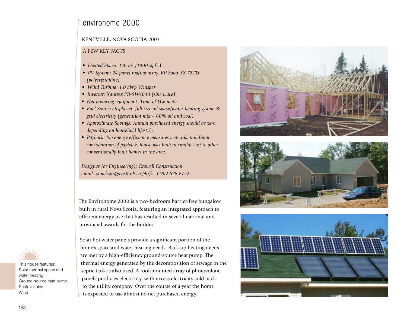# envirohome 2000

#### KENTVILLE, NOVA SCOTIA 2003

#### A FEW KEY FACTS

- *Heated Space: 176 m2 (1900 sq.ft.)*
- *PV System: 24 panel rooftop array, BP Solar SX-75TU (polycrystalline)*
- *Wind Turbine: 1.0 kWp Whisper*
- *Inverter: Xantrex PB-SW4048 (sine wave)*
- *Net metering equipment: Time-of-Use meter*
- *Fuel Source Displaced: full-size oil space/water heating system & grid electricity (generation mix = 60% oil and coal)*
- *Approximate Savings: Annual purchased energy should be zero, depending on household lifestyle.*
- *Payback: No energy efficiency measures were taken without consideration of payback, house was built at similar cost to other conventionally-built homes in the area.*

*Designer (or Engineering): Crowell Construction email: crowlcon@eastlink.ca ph/fx: 1.902.678.8752*

The Envirohome 2000 is a two-bedroom barrier-free bungalow built in rural Nova Scotia, featuring an integrated approach to efficient energy use that has resulted in several national and provincial awards for the builder.

This house features: Solar thermal space and water heating Ground-source heat pump **Photovoltaics** Wind